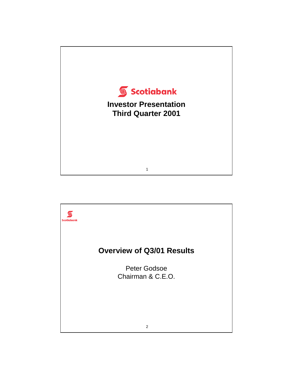

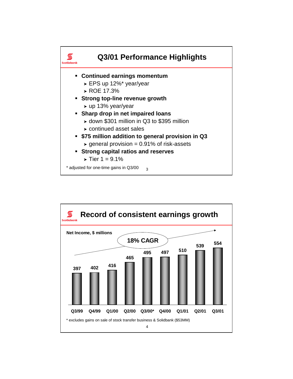

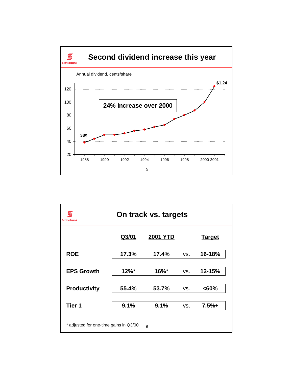

| On track vs. targets<br>Scotiabank          |          |                 |     |               |  |  |
|---------------------------------------------|----------|-----------------|-----|---------------|--|--|
|                                             | Q3/01    | <b>2001 YTD</b> |     | <b>Target</b> |  |  |
| <b>ROE</b>                                  | 17.3%    | 17.4%           | VS. | 16-18%        |  |  |
| <b>EPS Growth</b>                           | $12\%$ * | $16\%$ *        | VS. | 12-15%        |  |  |
| <b>Productivity</b>                         | 55.4%    | 53.7%           | VS. | <60%          |  |  |
| Tier 1                                      | 9.1%     | 9.1%            | VS. | 7.5%          |  |  |
| * adjusted for one-time gains in Q3/00<br>6 |          |                 |     |               |  |  |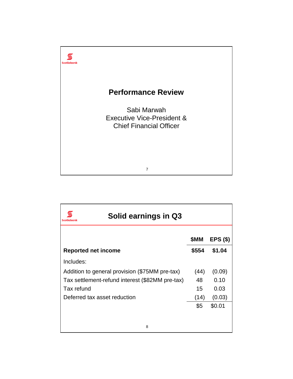

| Solid earnings in Q3<br>Scotiabank              |       |            |  |  |  |
|-------------------------------------------------|-------|------------|--|--|--|
|                                                 | \$MM  | $EPS($ \$) |  |  |  |
| <b>Reported net income</b>                      | \$554 | \$1.04     |  |  |  |
| Includes:                                       |       |            |  |  |  |
| Addition to general provision (\$75MM pre-tax)  | (44)  | (0.09)     |  |  |  |
| Tax settlement-refund interest (\$82MM pre-tax) |       | 0.10       |  |  |  |
| Tax refund                                      | 15    | 0.03       |  |  |  |
| Deferred tax asset reduction                    | (14)  | (0.03)     |  |  |  |
|                                                 | \$5   | \$0.01     |  |  |  |
|                                                 |       |            |  |  |  |
| 8                                               |       |            |  |  |  |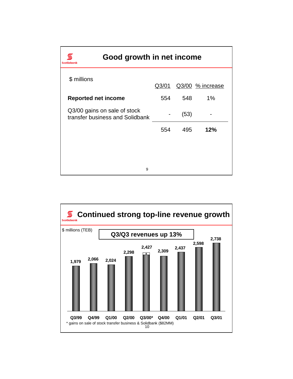| Good growth in net income<br>Scotiabank                         |       |      |                  |  |  |
|-----------------------------------------------------------------|-------|------|------------------|--|--|
| \$ millions                                                     | Q3/01 |      | Q3/00 % increase |  |  |
| <b>Reported net income</b>                                      | 554   | 548  | $1\%$            |  |  |
| Q3/00 gains on sale of stock<br>transfer business and Solidbank |       | (53) |                  |  |  |
|                                                                 | 554   | 495  | 12%              |  |  |
|                                                                 |       |      |                  |  |  |
|                                                                 |       |      |                  |  |  |
| 9                                                               |       |      |                  |  |  |

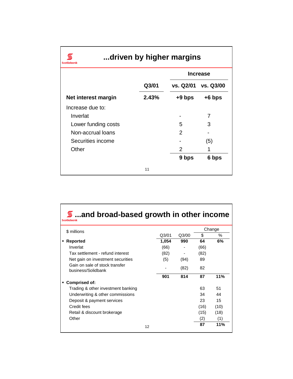|                     |       | <b>Increase</b> |                     |  |
|---------------------|-------|-----------------|---------------------|--|
|                     | Q3/01 |                 | vs. Q2/01 vs. Q3/00 |  |
| Net interest margin | 2.43% | $+9$ bps        | $+6$ bps            |  |
| Increase due to:    |       |                 |                     |  |
| Inverlat            |       |                 | 7                   |  |
| Lower funding costs |       | 5               | 3                   |  |
| Non-accrual loans   |       | 2               |                     |  |
| Securities income   |       |                 | (5)                 |  |
| Other               |       | 2               |                     |  |
|                     |       | 9 bps           | 6 bps               |  |

| \$ millions                                          |       |       | Change |      |  |
|------------------------------------------------------|-------|-------|--------|------|--|
|                                                      | Q3/01 | Q3/00 | \$     | %    |  |
| Reported                                             | 1,054 | 990   | 64     | 6%   |  |
| Inverlat                                             | (66)  |       | (66)   |      |  |
| Tax settlement - refund interest                     | (82)  |       | (82)   |      |  |
| Net gain on investment securities                    | (5)   | (94)  | 89     |      |  |
| Gain on sale of stock transfer<br>business/Solidbank |       | (82)  | 82     |      |  |
|                                                      | 901   | 814   | 87     | 11%  |  |
| Comprised of:                                        |       |       |        |      |  |
| Trading & other investment banking                   |       |       | 63     | 51   |  |
| Underwriting & other commissions                     |       |       | 34     | 44   |  |
| Deposit & payment services                           |       |       | 23     | 15   |  |
| Credit fees                                          |       |       | (16)   | (10) |  |
| Retail & discount brokerage                          |       |       | (15)   | (18) |  |
| Other                                                |       |       | (2)    | (1)  |  |
| 12                                                   |       |       | 87     | 11%  |  |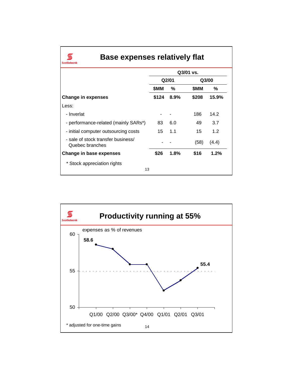## **Base expenses relatively flat**

 $\bigoplus$ **Scotiabank** 

|                                                       | Q3/01 vs. |      |                    |       |
|-------------------------------------------------------|-----------|------|--------------------|-------|
|                                                       | Q2/01     |      | Q <sub>3</sub> /00 |       |
|                                                       | \$MM      | ℅    | \$MM               | ℅     |
| <b>Change in expenses</b>                             | \$124     | 8.9% | \$208              | 15.9% |
| Less:                                                 |           |      |                    |       |
| - Inverlat                                            |           |      | 186                | 14.2  |
| - performance-related (mainly SARs*)                  | 83        | 6.0  | 49                 | 3.7   |
| - initial computer outsourcing costs                  | 15        | 1.1  | 15                 | 1.2   |
| - sale of stock transfer business/<br>Quebec branches |           |      | (58)               | (4.4) |
| <b>Change in base expenses</b>                        | \$26      | 1.8% | \$16               | 1.2%  |
| * Stock appreciation rights                           |           |      |                    |       |
| 13                                                    |           |      |                    |       |

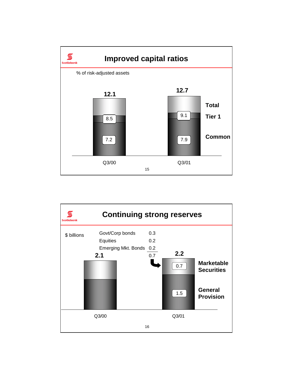

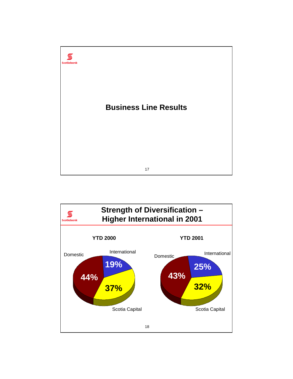

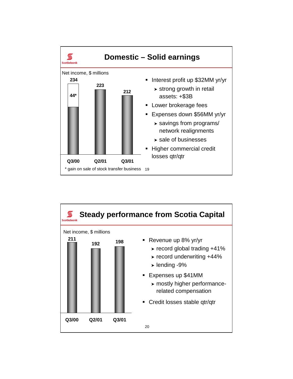

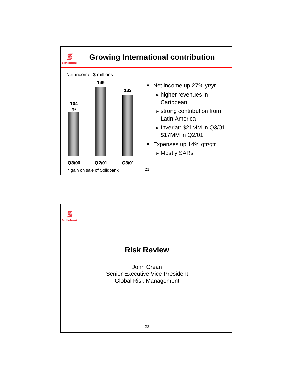

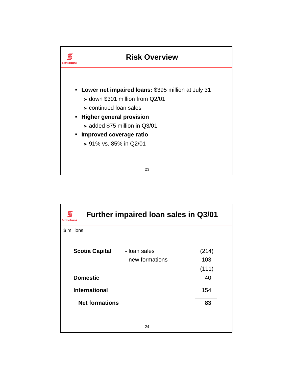

| <b>Scotiabank</b>     | <b>Further impaired loan sales in Q3/01</b> |                       |
|-----------------------|---------------------------------------------|-----------------------|
| \$ millions           |                                             |                       |
| <b>Scotia Capital</b> | - Ioan sales<br>- new formations            | (214)<br>103<br>(111) |
| <b>Domestic</b>       |                                             | 40                    |
| <b>International</b>  |                                             | 154                   |
| <b>Net formations</b> |                                             | 83                    |
|                       |                                             |                       |
|                       | 24                                          |                       |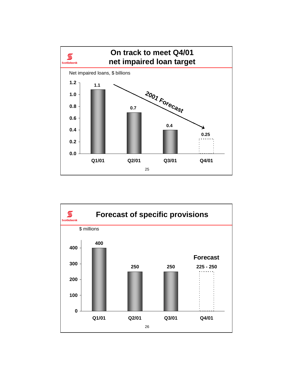

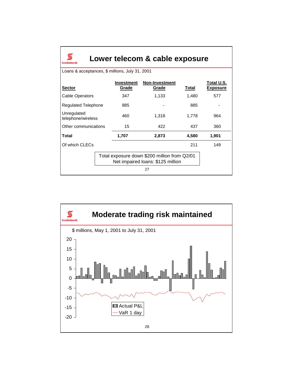| Lower telecom & cable exposure<br><b>Scotiabank</b> |                                                                                   |                                |       |                               |  |  |  |
|-----------------------------------------------------|-----------------------------------------------------------------------------------|--------------------------------|-------|-------------------------------|--|--|--|
| Loans & acceptances, \$ millions, July 31, 2001     |                                                                                   |                                |       |                               |  |  |  |
| <b>Sector</b>                                       | <b>Investment</b><br>Grade                                                        | <b>Non-Investment</b><br>Grade | Total | Total U.S.<br><b>Exposure</b> |  |  |  |
| <b>Cable Operators</b>                              | 347                                                                               | 1,133                          | 1,480 | 577                           |  |  |  |
| <b>Regulated Telephone</b>                          | 885                                                                               |                                | 885   |                               |  |  |  |
| Unregulated<br>telephone/wireless                   | 460                                                                               | 1,318                          | 1,778 | 964                           |  |  |  |
| Other communications                                | 15                                                                                | 422                            | 437   | 360                           |  |  |  |
| Total                                               | 1,707                                                                             | 2,873                          | 4,580 | 1,901                         |  |  |  |
| Of which CLECs                                      |                                                                                   |                                | 211   | 149                           |  |  |  |
|                                                     | Total exposure down \$200 million from Q2/01<br>Net impaired loans: \$125 million |                                |       |                               |  |  |  |
| 27                                                  |                                                                                   |                                |       |                               |  |  |  |

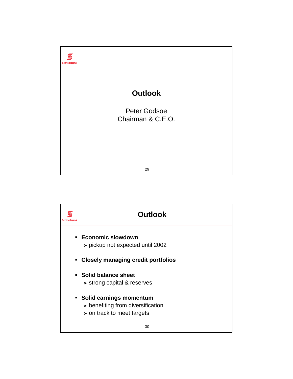